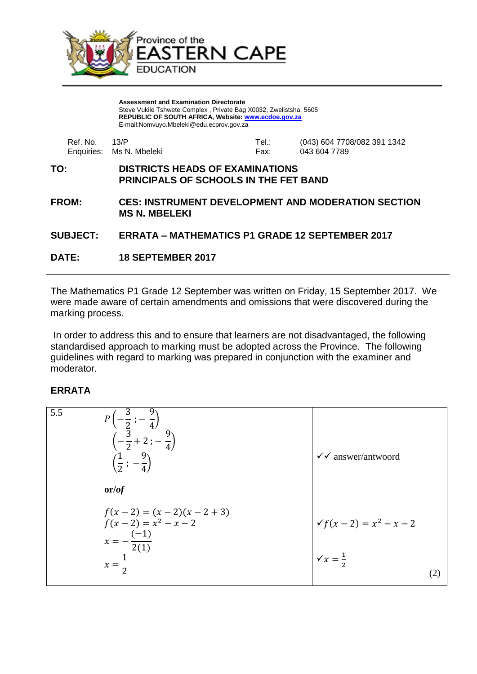

**Assessment and Examination Directorate** Steve Vukile Tshwete Complex , Private Bag X0032, Zwelistsha, 5605 **REPUBLIC OF SOUTH AFRICA, Website: [www.ecdoe.gov.za](http://www.ecdoe.gov.za/)** E-mail:Nomvuyo.Mbeleki@edu.ecprov.gov.za

| Ref. No. 43/P | Enquiries: Ms N. Mbeleki | Tel.∶<br>Fax: | (043) 604 7708/082 391 1342<br>043 604 7789 |
|---------------|--------------------------|---------------|---------------------------------------------|
|               |                          |               |                                             |

## **TO: DISTRICTS HEADS OF EXAMINATIONS PRINCIPALS OF SCHOOLS IN THE FET BAND**

**FROM: CES: INSTRUMENT DEVELOPMENT AND MODERATION SECTION MS N. MBELEKI**

## **SUBJECT: ERRATA – MATHEMATICS P1 GRADE 12 SEPTEMBER 2017**

**DATE: 18 SEPTEMBER 2017**

The Mathematics P1 Grade 12 September was written on Friday, 15 September 2017. We were made aware of certain amendments and omissions that were discovered during the marking process.

In order to address this and to ensure that learners are not disadvantaged, the following standardised approach to marking must be adopted across the Province. The following guidelines with regard to marking was prepared in conjunction with the examiner and moderator.

## **ERRATA**

| 5.5 | $P\left(-\frac{3}{2}; -\frac{9}{4}\right)$<br>$\left(-\frac{3}{2}+2; -\frac{9}{4}\right)$<br>$\left(\frac{1}{2}, -\frac{9}{4}\right)$ | $\checkmark$ answer/antwoord                              |  |
|-----|---------------------------------------------------------------------------------------------------------------------------------------|-----------------------------------------------------------|--|
|     | or/of                                                                                                                                 |                                                           |  |
|     | $f(x-2) = (x-2)(x-2+3)$<br>$f(x-2) = x^2 - x - 2$<br>$x = -\frac{(-1)}{2(1)}$<br>$x=\frac{1}{2}$                                      | $\sqrt{f(x-2)} = x^2 - x - 2$<br>$\sqrt{x} = \frac{1}{2}$ |  |